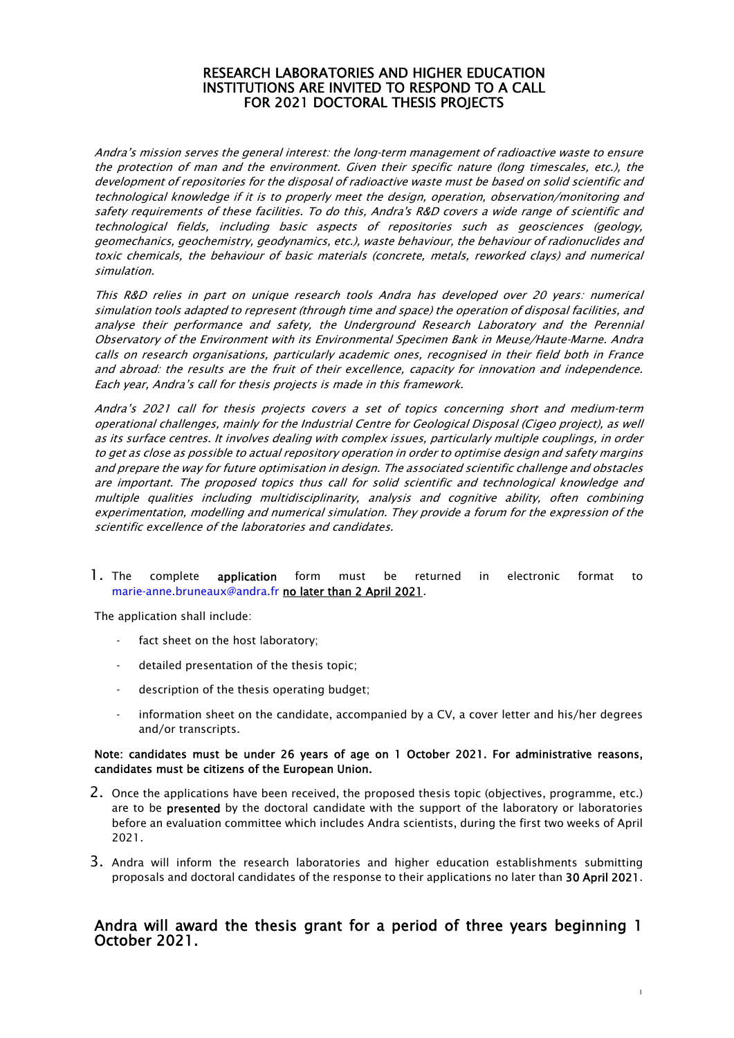### RESEARCH LABORATORIES AND HIGHER EDUCATION INSTITUTIONS ARE INVITED TO RESPOND TO A CALL FOR 2021 DOCTORAL THESIS PROJECTS

Andra's mission serves the general interest: the long-term management of radioactive waste to ensure the protection of man and the environment. Given their specific nature (long timescales, etc.), the development of repositories for the disposal of radioactive waste must be based on solid scientific and technological knowledge if it is to properly meet the design, operation, observation/monitoring and safety requirements of these facilities. To do this, Andra's R&D covers a wide range of scientific and technological fields, including basic aspects of repositories such as geosciences (geology, geomechanics, geochemistry, geodynamics, etc.), waste behaviour, the behaviour of radionuclides and toxic chemicals, the behaviour of basic materials (concrete, metals, reworked clays) and numerical simulation.

This R&D relies in part on unique research tools Andra has developed over 20 years: numerical simulation tools adapted to represent (through time and space) the operation of disposal facilities, and analyse their performance and safety, the Underground Research Laboratory and the Perennial Observatory of the Environment with its Environmental Specimen Bank in Meuse/Haute-Marne. Andra calls on research organisations, particularly academic ones, recognised in their field both in France and abroad: the results are the fruit of their excellence, capacity for innovation and independence. Each year, Andra's call for thesis projects is made in this framework.

Andra's 2021 call for thesis projects covers a set of topics concerning short and medium-term operational challenges, mainly for the Industrial Centre for Geological Disposal (Cigeo project), as well as its surface centres. It involves dealing with complex issues, particularly multiple couplings, in order to get as close as possible to actual repository operation in order to optimise design and safety margins and prepare the way for future optimisation in design. The associated scientific challenge and obstacles are important. The proposed topics thus call for solid scientific and technological knowledge and multiple qualities including multidisciplinarity, analysis and cognitive ability, often combining experimentation, modelling and numerical simulation. They provide a forum for the expression of the scientific excellence of the laboratories and candidates.

### 1. The complete application form must be returned in electronic format to marie-anne.bruneaux@andra.fr no later than 2 April 2021.

The application shall include:

- fact sheet on the host laboratory;
- detailed presentation of the thesis topic;
- description of the thesis operating budget;
- information sheet on the candidate, accompanied by a CV, a cover letter and his/her degrees and/or transcripts.

#### Note: candidates must be under 26 years of age on 1 October 2021. For administrative reasons, candidates must be citizens of the European Union.

- 2. Once the applications have been received, the proposed thesis topic (objectives, programme, etc.) are to be presented by the doctoral candidate with the support of the laboratory or laboratories before an evaluation committee which includes Andra scientists, during the first two weeks of April 2021.
- 3. Andra will inform the research laboratories and higher education establishments submitting proposals and doctoral candidates of the response to their applications no later than 30 April 2021.

# Andra will award the thesis grant for a period of three years beginning 1 October 2021.